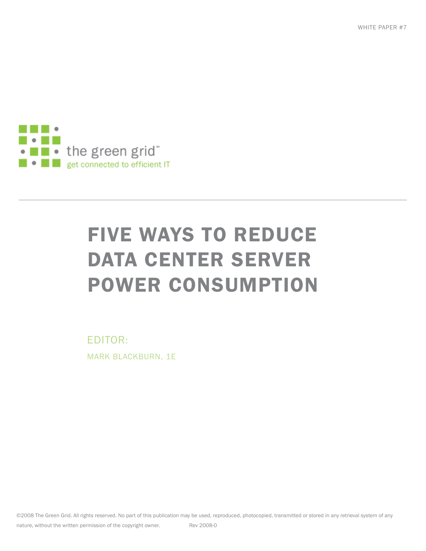WHITE PAPER #7



# FIVE WAYS TO REDUCE DATA CENTER SERVER POWER CONSUMPTION

EDITOR: MARK BLACKBURN, 1E

©2008 The Green Grid. All rights reserved. No part of this publication may be used, reproduced, photocopied, transmitted or stored in any retrieval system of any nature, without the written permission of the copyright owner. Rev 2008-0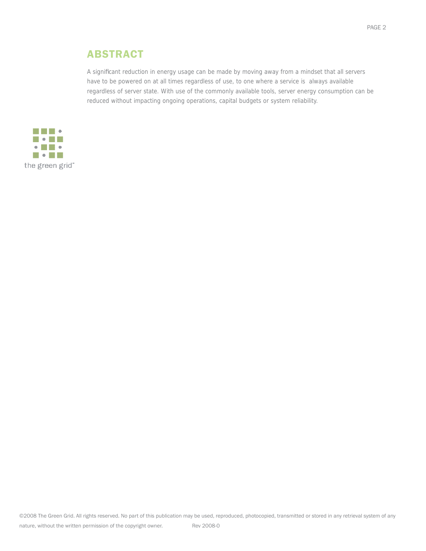## ABSTRACT

A significant reduction in energy usage can be made by moving away from a mindset that all servers have to be powered on at all times regardless of use, to one where a service is always available regardless of server state. With use of the commonly available tools, server energy consumption can be reduced without impacting ongoing operations, capital budgets or system reliability.

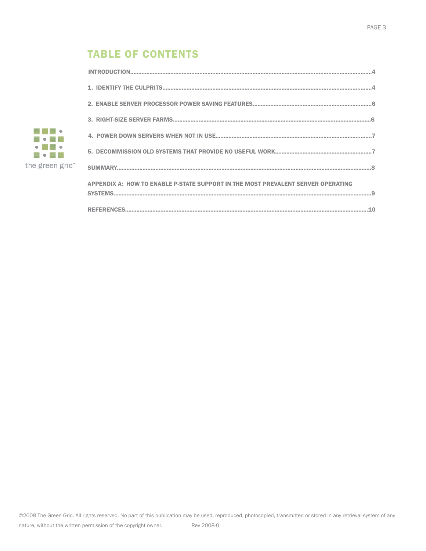# **TABLE OF CONTENTS**

| APPENDIX A: HOW TO ENABLE P-STATE SUPPORT IN THE MOST PREVALENT SERVER OPERATING |
|----------------------------------------------------------------------------------|
|                                                                                  |

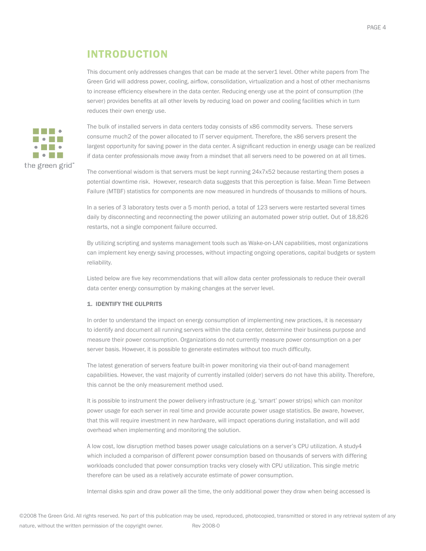## INTRODUCTION

This document only addresses changes that can be made at the server1 level. Other white papers from The Green Grid will address power, cooling, airflow, consolidation, virtualization and a host of other mechanisms to increase efficiency elsewhere in the data center. Reducing energy use at the point of consumption (the server) provides benefits at all other levels by reducing load on power and cooling facilities which in turn reduces their own energy use.



The bulk of installed servers in data centers today consists of x86 commodity servers. These servers consume much2 of the power allocated to IT server equipment. Therefore, the x86 servers present the largest opportunity for saving power in the data center. A significant reduction in energy usage can be realized if data center professionals move away from a mindset that all servers need to be powered on at all times.

The conventional wisdom is that servers must be kept running 24x7x52 because restarting them poses a potential downtime risk. However, research data suggests that this perception is false. Mean Time Between Failure (MTBF) statistics for components are now measured in hundreds of thousands to millions of hours.

In a series of 3 laboratory tests over a 5 month period, a total of 123 servers were restarted several times daily by disconnecting and reconnecting the power utilizing an automated power strip outlet. Out of 18,826 restarts, not a single component failure occurred.

By utilizing scripting and systems management tools such as Wake-on-LAN capabilities, most organizations can implement key energy saving processes, without impacting ongoing operations, capital budgets or system reliability.

Listed below are five key recommendations that will allow data center professionals to reduce their overall data center energy consumption by making changes at the server level.

#### 1. IDENTIFY THE CULPRITS

In order to understand the impact on energy consumption of implementing new practices, it is necessary to identify and document all running servers within the data center, determine their business purpose and measure their power consumption. Organizations do not currently measure power consumption on a per server basis. However, it is possible to generate estimates without too much difficulty.

The latest generation of servers feature built-in power monitoring via their out-of-band management capabilities. However, the vast majority of currently installed (older) servers do not have this ability. Therefore, this cannot be the only measurement method used.

It is possible to instrument the power delivery infrastructure (e.g. 'smart' power strips) which can monitor power usage for each server in real time and provide accurate power usage statistics. Be aware, however, that this will require investment in new hardware, will impact operations during installation, and will add overhead when implementing and monitoring the solution.

A low cost, low disruption method bases power usage calculations on a server's CPU utilization. A study4 which included a comparison of different power consumption based on thousands of servers with differing workloads concluded that power consumption tracks very closely with CPU utilization. This single metric therefore can be used as a relatively accurate estimate of power consumption.

Internal disks spin and draw power all the time, the only additional power they draw when being accessed is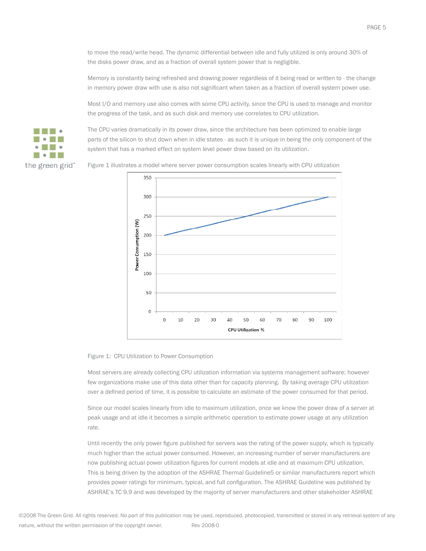to move the read/write head. The dynamic differential between idle and fully utilized is only around 30% of the disks power draw, and as a fraction of overall system power that is negligible.

Memory is constantly being refreshed and drawing power regardless of it being read or written to - the change in memory power draw with use is also not significant when taken as a fraction of overall system power use.

Most I/O and memory use also comes with some CPU activity, since the CPU is used to manage and monitor the progress of the task, and as such disk and memory use correlates to CPU utilization.



The CPU varies dramatically in its power draw, since the architecture has been optimized to enable large parts of the silicon to shut down when in idle states - as such it is unique in being the only component of the system that has a marked effect on system level power draw based on its utilization.

Figure 1 illustrates a model where server power consumption scales linearly with CPU utilization



#### Figure 1: CPU Utilization to Power Consumption

Most servers are already collecting CPU utilization information via systems management software; however few organizations make use of this data other than for capacity planning. By taking average CPU utilization over a defined period of time, it is possible to calculate an estimate of the power consumed for that period.

Since our model scales linearly from idle to maximum utilization, once we know the power draw of a server at peak usage and at idle it becomes a simple arithmetic operation to estimate power usage at any utilization rate.

Until recently the only power figure published for servers was the rating of the power supply, which is typically much higher than the actual power consumed. However, an increasing number of server manufacturers are now publishing actual power utilization figures for current models at idle and at maximum CPU utilization. This is being driven by the adoption of the ASHRAE Thermal Guideline5 or similar manufacturers report which provides power ratings for minimum, typical, and full configuration. The ASHRAE Guideline was published by ASHRAE's TC 9.9 and was developed by the majority of server manufacturers and other stakeholder ASHRAE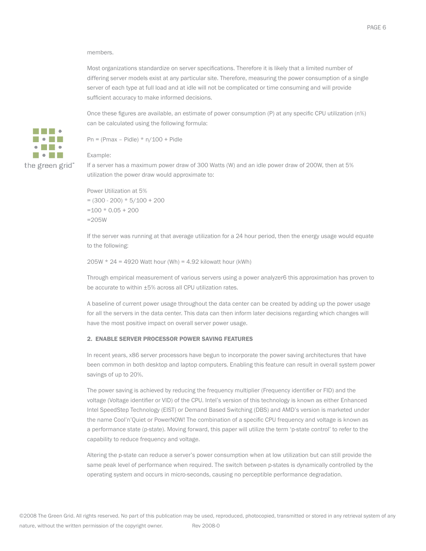#### members.

Most organizations standardize on server specifications. Therefore it is likely that a limited number of differing server models exist at any particular site. Therefore, measuring the power consumption of a single server of each type at full load and at idle will not be complicated or time consuming and will provide sufficient accuracy to make informed decisions.

Once these figures are available, an estimate of power consumption (P) at any specific CPU utilization (n%) can be calculated using the following formula:

Pn = (Pmax – Pidle)  $*$  n/100 + Pidle

#### Example:

 $\bullet \qquad \bullet$ **Monte** the green grid"

**MARINE Model** 

> If a server has a maximum power draw of 300 Watts (W) and an idle power draw of 200W, then at 5% utilization the power draw would approximate to:

Power Utilization at 5%  $= (300 - 200) * 5/100 + 200$  $=100 * 0.05 + 200$ =205W

If the server was running at that average utilization for a 24 hour period, then the energy usage would equate to the following:

205W  $*$  24 = 4920 Watt hour (Wh) = 4.92 kilowatt hour (kWh)

Through empirical measurement of various servers using a power analyzer6 this approximation has proven to be accurate to within ±5% across all CPU utilization rates.

A baseline of current power usage throughout the data center can be created by adding up the power usage for all the servers in the data center. This data can then inform later decisions regarding which changes will have the most positive impact on overall server power usage.

#### 2. ENABLE SERVER PROCESSOR POWER SAVING FEATURES

In recent years, x86 server processors have begun to incorporate the power saving architectures that have been common in both desktop and laptop computers. Enabling this feature can result in overall system power savings of up to 20%.

The power saving is achieved by reducing the frequency multiplier (Frequency identifier or FID) and the voltage (Voltage identifier or VID) of the CPU. Intel's version of this technology is known as either Enhanced Intel SpeedStep Technology (EIST) or Demand Based Switching (DBS) and AMD's version is marketed under the name Cool'n'Quiet or PowerNOW! The combination of a specific CPU frequency and voltage is known as a performance state (p-state). Moving forward, this paper will utilize the term 'p-state control' to refer to the capability to reduce frequency and voltage.

Altering the p-state can reduce a server's power consumption when at low utilization but can still provide the same peak level of performance when required. The switch between p-states is dynamically controlled by the operating system and occurs in micro-seconds, causing no perceptible performance degradation.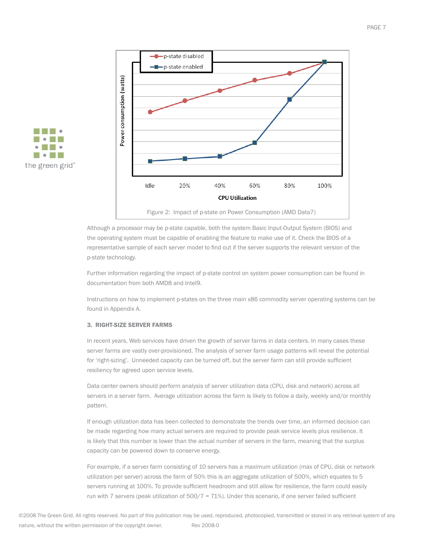



Although a processor may be p-state capable, both the system Basic Input-Output System (BIOS) and the operating system must be capable of enabling the feature to make use of it. Check the BIOS of a representative sample of each server model to find out if the server supports the relevant version of the p-state technology.

Further information regarding the impact of p-state control on system power consumption can be found in documentation from both AMD8 and Intel9.

Instructions on how to implement p-states on the three main x86 commodity server operating systems can be found in Appendix A.

#### 3. RIGHT-SIZE SERVER FARMS

In recent years, Web services have driven the growth of server farms in data centers. In many cases these server farms are vastly over-provisioned. The analysis of server farm usage patterns will reveal the potential for 'right-sizing'. Unneeded capacity can be turned off, but the server farm can still provide sufficient resiliency for agreed upon service levels.

Data center owners should perform analysis of server utilization data (CPU, disk and network) across all servers in a server farm. Average utilization across the farm is likely to follow a daily, weekly and/or monthly pattern.

If enough utilization data has been collected to demonstrate the trends over time, an informed decision can be made regarding how many actual servers are required to provide peak service levels plus resilience. It is likely that this number is lower than the actual number of servers in the farm, meaning that the surplus capacity can be powered down to conserve energy.

For example, if a server farm consisting of 10 servers has a maximum utilization (max of CPU, disk or network utilization per server) across the farm of 50% this is an aggregate utilization of 500%, which equates to 5 servers running at 100%. To provide sufficient headroom and still allow for resilience, the farm could easily run with 7 servers (peak utilization of  $500/7 = 71\%$ ). Under this scenario, if one server failed sufficient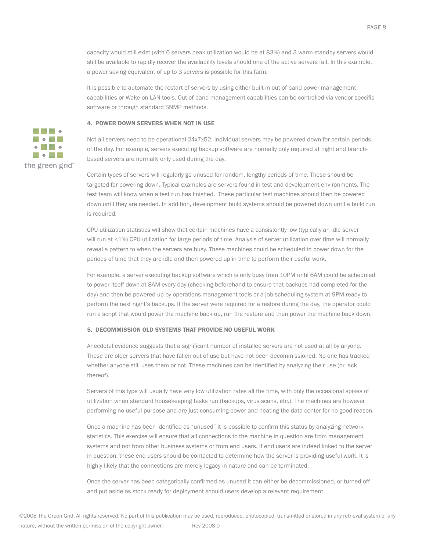capacity would still exist (with 6 servers peak utilization would be at 83%) and 3 warm standby servers would still be available to rapidly recover the availability levels should one of the active servers fail. In this example, a power saving equivalent of up to 3 servers is possible for this farm.

It is possible to automate the restart of servers by using either built-in out-of-band power management capabilities or Wake-on-LAN tools. Out-of-band management capabilities can be controlled via vendor specific software or through standard SNMP methods.

#### 4. POWER DOWN SERVERS WHEN NOT IN USE



Certain types of servers will regularly go unused for random, lengthy periods of time. These should be targeted for powering down. Typical examples are servers found in test and development environments. The test team will know when a test run has finished. These particular test machines should then be powered down until they are needed. In addition, development build systems should be powered down until a build run is required.

CPU utilization statistics will show that certain machines have a consistently low (typically an idle server will run at <1%) CPU utilization for large periods of time. Analysis of server utilization over time will normally reveal a pattern to when the servers are busy. These machines could be scheduled to power down for the periods of time that they are idle and then powered up in time to perform their useful work.

For example, a server executing backup software which is only busy from 10PM until 6AM could be scheduled to power itself down at 8AM every day (checking beforehand to ensure that backups had completed for the day) and then be powered up by operations management tools or a job scheduling system at 9PM ready to perform the next night's backups. If the server were required for a restore during the day, the operator could run a script that would power the machine back up, run the restore and then power the machine back down.

#### 5. DECOMMISSION OLD SYSTEMS THAT PROVIDE NO USEFUL WORK

Anecdotal evidence suggests that a significant number of installed servers are not used at all by anyone. These are older servers that have fallen out of use but have not been decommissioned. No one has tracked whether anyone still uses them or not. These machines can be identified by analyzing their use (or lack thereof).

Servers of this type will usually have very low utilization rates all the time, with only the occasional spikes of utilization when standard housekeeping tasks run (backups, virus scans, etc.). The machines are however performing no useful purpose and are just consuming power and heating the data center for no good reason.

Once a machine has been identified as "unused" it is possible to confirm this status by analyzing network statistics. This exercise will ensure that all connections to the machine in question are from management systems and not from other business systems or from end users. If end users are indeed linked to the server in question, these end users should be contacted to determine how the server is providing useful work. It is highly likely that the connections are merely legacy in nature and can be terminated.

Once the server has been categorically confirmed as unused it can either be decommissioned, or turned off and put aside as stock ready for deployment should users develop a relevant requirement.

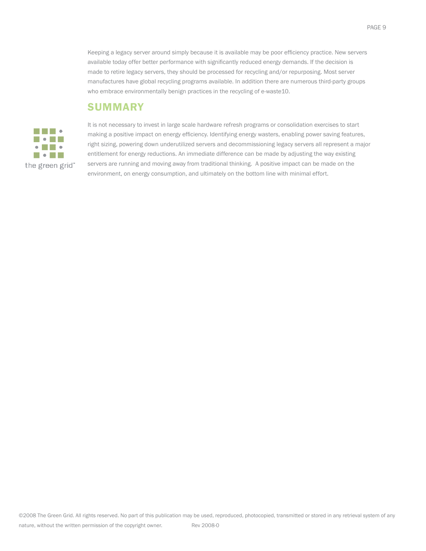Keeping a legacy server around simply because it is available may be poor efficiency practice. New servers available today offer better performance with significantly reduced energy demands. If the decision is made to retire legacy servers, they should be processed for recycling and/or repurposing. Most server manufactures have global recycling programs available. In addition there are numerous third-party groups who embrace environmentally benign practices in the recycling of e-waste10.

### **SUMMARY**



It is not necessary to invest in large scale hardware refresh programs or consolidation exercises to start making a positive impact on energy efficiency. Identifying energy wasters, enabling power saving features, right sizing, powering down underutilized servers and decommissioning legacy servers all represent a major entitlement for energy reductions. An immediate difference can be made by adjusting the way existing servers are running and moving away from traditional thinking. A positive impact can be made on the environment, on energy consumption, and ultimately on the bottom line with minimal effort.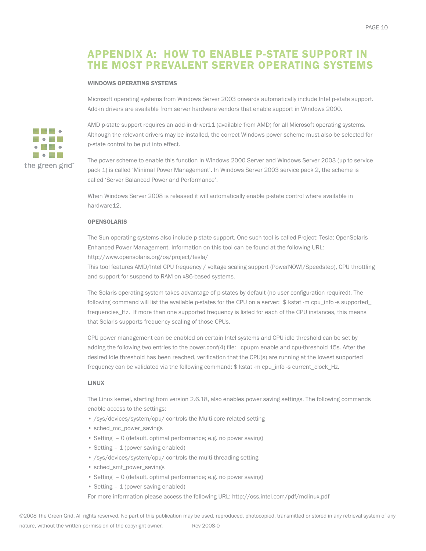# APPENDIX A: HOW TO ENABLE P-STATE SUPPORT IN THE MOST PREVALENT SERVER OPERATING SYSTEMS

#### WINDOWS OPERATING SYSTEMS

Microsoft operating systems from Windows Server 2003 onwards automatically include Intel p-state support. Add-in drivers are available from server hardware vendors that enable support in Windows 2000.



AMD p-state support requires an add-in driver11 (available from AMD) for all Microsoft operating systems. Although the relevant drivers may be installed, the correct Windows power scheme must also be selected for p-state control to be put into effect.

The power scheme to enable this function in Windows 2000 Server and Windows Server 2003 (up to service pack 1) is called 'Minimal Power Management'. In Windows Server 2003 service pack 2, the scheme is called 'Server Balanced Power and Performance'.

When Windows Server 2008 is released it will automatically enable p-state control where available in hardware12.

#### **OPENSOLARIS**

The Sun operating systems also include p-state support. One such tool is called Project: Tesla: OpenSolaris Enhanced Power Management. Information on this tool can be found at the following URL: http://www.opensolaris.org/os/project/tesla/

This tool features AMD/Intel CPU frequency / voltage scaling support (PowerNOW!/Speedstep), CPU throttling and support for suspend to RAM on x86-based systems.

The Solaris operating system takes advantage of p-states by default (no user configuration required). The following command will list the available p-states for the CPU on a server: \$ kstat -m cpu\_info -s supported\_ frequencies\_Hz. If more than one supported frequency is listed for each of the CPU instances, this means that Solaris supports frequency scaling of those CPUs.

CPU power management can be enabled on certain Intel systems and CPU idle threshold can be set by adding the following two entries to the power.conf(4) file: cpupm enable and cpu-threshold 15s. After the desired idle threshold has been reached, verification that the CPU(s) are running at the lowest supported frequency can be validated via the following command: \$ kstat -m cpu\_info -s current\_clock\_Hz.

#### LINUX

The Linux kernel, starting from version 2.6.18, also enables power saving settings. The following commands enable access to the settings:

- /sys/devices/system/cpu/ controls the Multi-core related setting
- sched\_mc\_power\_savings
- Setting 0 (default, optimal performance; e.g. no power saving)
- Setting 1 (power saving enabled)
- /sys/devices/system/cpu/ controls the multi-threading setting
- sched\_smt\_power\_savings
- Setting 0 (default, optimal performance; e.g. no power saving)
- Setting 1 (power saving enabled)

For more information please access the following URL: http://oss.intel.com/pdf/mclinux.pdf